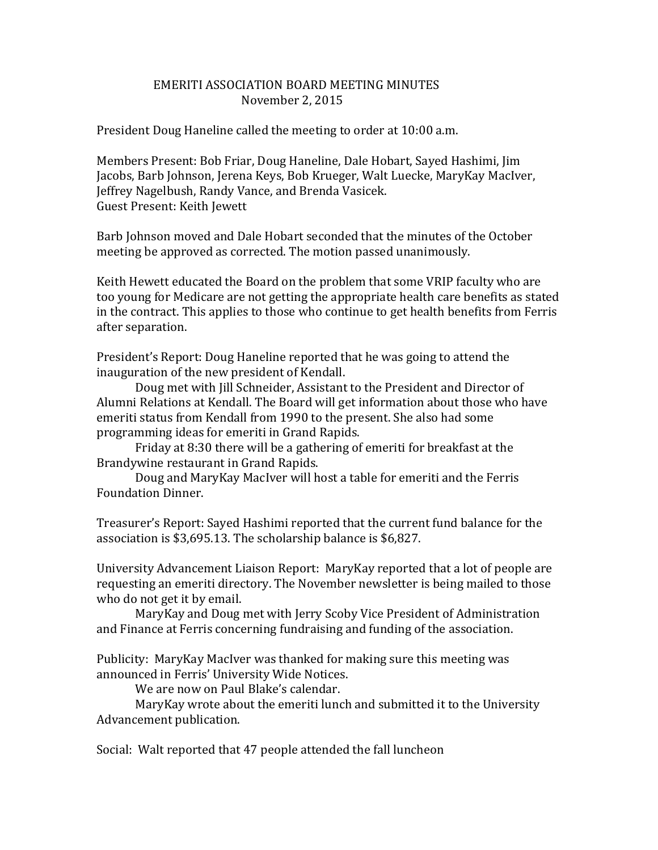## EMERITI ASSOCIATION BOARD MEETING MINUTES November 2, 2015

President Doug Haneline called the meeting to order at 10:00 a.m.

Members Present: Bob Friar, Doug Haneline, Dale Hobart, Sayed Hashimi, Jim Jacobs, Barb Johnson, Jerena Keys, Bob Krueger, Walt Luecke, MaryKay MacIver, Jeffrey Nagelbush, Randy Vance, and Brenda Vasicek. Guest Present: Keith Jewett

Barb Johnson moved and Dale Hobart seconded that the minutes of the October meeting be approved as corrected. The motion passed unanimously.

Keith Hewett educated the Board on the problem that some VRIP faculty who are too young for Medicare are not getting the appropriate health care benefits as stated in the contract. This applies to those who continue to get health benefits from Ferris after separation.

President's Report: Doug Haneline reported that he was going to attend the inauguration of the new president of Kendall.

Doug met with Jill Schneider, Assistant to the President and Director of Alumni Relations at Kendall. The Board will get information about those who have emeriti status from Kendall from 1990 to the present. She also had some programming ideas for emeriti in Grand Rapids.

Friday at 8:30 there will be a gathering of emeriti for breakfast at the Brandywine restaurant in Grand Rapids.

Doug and MaryKay MacIver will host a table for emeriti and the Ferris Foundation Dinner.

Treasurer's Report: Sayed Hashimi reported that the current fund balance for the association is \$3,695.13. The scholarship balance is \$6,827.

University Advancement Liaison Report: MaryKay reported that a lot of people are requesting an emeriti directory. The November newsletter is being mailed to those who do not get it by email.

MaryKay and Doug met with Jerry Scoby Vice President of Administration and Finance at Ferris concerning fundraising and funding of the association.

Publicity: MaryKay MacIver was thanked for making sure this meeting was announced in Ferris' University Wide Notices.

We are now on Paul Blake's calendar.

MaryKay wrote about the emeriti lunch and submitted it to the University Advancement publication.

Social: Walt reported that 47 people attended the fall luncheon